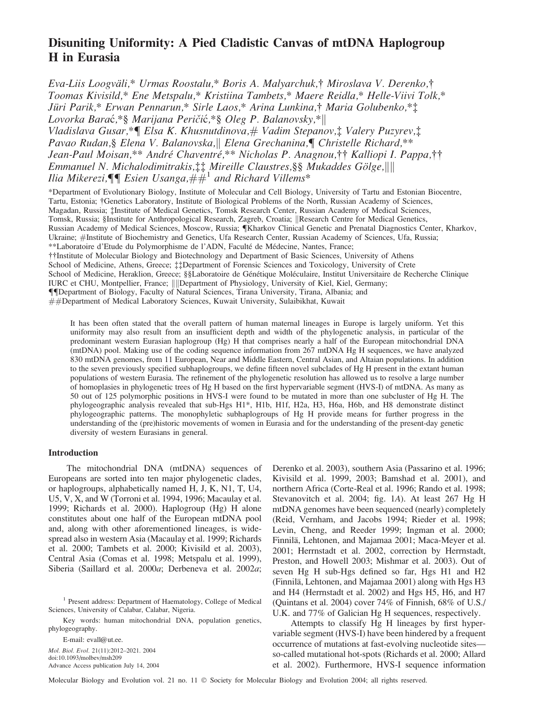# Disuniting Uniformity: A Pied Cladistic Canvas of mtDNA Haplogroup H in Eurasia

Eva-Liis Loogväli,\* Urmas Roostalu,\* Boris A. Malyarchuk,† Miroslava V. Derenko,† Toomas Kivisild,\* Ene Metspalu,\* Kristiina Tambets,\* Maere Reidla,\* Helle-Viivi Tolk,\* Jüri Parik,\* Erwan Pennarun,\* Sirle Laos,\* Arina Lunkina,† Maria Golubenko,\*‡ Lovorka Barać,\*§ Marijana Peričić,\*§ Oleg P. Balanovsky,\*|| Vladislava Gusar,\*¶ Elsa K. Khusnutdinova,# Vadim Stepanov,‡ Valery Puzyrev,‡ Pavao Rudan,§ Elena V. Balanovska,|| Elena Grechanina,¶ Christelle Richard,\*\* Jean-Paul Moisan,\*\* André Chaventré,\*\* Nicholas P. Anagnou,†† Kalliopi I. Pappa,†† Emmanuel N. Michalodimitrakis,‡‡ Mireille Claustres,§§ Mukaddes Gölge,|||| Ilia Mikerezi, ${\P}$  Esien Usanga, $\ddot{H}^{\pm}$  and Richard Villems\*

\*Department of Evolutionary Biology, Institute of Molecular and Cell Biology, University of Tartu and Estonian Biocentre, Tartu, Estonia; †Genetics Laboratory, Institute of Biological Problems of the North, Russian Academy of Sciences, Magadan, Russia; : Institute of Medical Genetics, Tomsk Research Center, Russian Academy of Medical Sciences, Tomsk, Russia; §Institute for Anthropological Research, Zagreb, Croatia; ||Research Centre for Medical Genetics, Russian Academy of Medical Sciences, Moscow, Russia; *Kharkov Clinical Genetic and Prenatal Diagnostics Center, Kharkov,* Ukraine; #Institute of Biochemistry and Genetics, Ufa Research Center, Russian Academy of Sciences, Ufa, Russia; \*\*Laboratoire d'Etude du Polymorphisme de l'ADN, Faculté de Médecine, Nantes, France; Institute of Molecular Biology and Biotechnology and Department of Basic Sciences, University of Athens School of Medicine, Athens, Greece; :: Department of Forensic Sciences and Toxicology, University of Crete School of Medicine, Heraklion, Greece; §§Laboratoire de Génétique Moléculaire, Institut Universitaire de Recherche Clinique IURC et CHU, Montpellier, France; |||Department of Physiology, University of Kiel, Kiel, Germany; {{Department of Biology, Faculty of Natural Sciences, Tirana University, Tirana, Albania; and ##Department of Medical Laboratory Sciences, Kuwait University, Sulaibikhat, Kuwait

It has been often stated that the overall pattern of human maternal lineages in Europe is largely uniform. Yet this uniformity may also result from an insufficient depth and width of the phylogenetic analysis, in particular of the predominant western Eurasian haplogroup (Hg) H that comprises nearly a half of the European mitochondrial DNA (mtDNA) pool. Making use of the coding sequence information from 267 mtDNA Hg H sequences, we have analyzed 830 mtDNA genomes, from 11 European, Near and Middle Eastern, Central Asian, and Altaian populations. In addition to the seven previously specified subhaplogroups, we define fifteen novel subclades of Hg H present in the extant human populations of western Eurasia. The refinement of the phylogenetic resolution has allowed us to resolve a large number of homoplasies in phylogenetic trees of Hg H based on the first hypervariable segment (HVS-I) of mtDNA. As many as 50 out of 125 polymorphic positions in HVS-I were found to be mutated in more than one subcluster of Hg H. The phylogeographic analysis revealed that sub-Hgs H1\*, H1b, H1f, H2a, H3, H6a, H6b, and H8 demonstrate distinct phylogeographic patterns. The monophyletic subhaplogroups of Hg H provide means for further progress in the understanding of the (pre)historic movements of women in Eurasia and for the understanding of the present-day genetic diversity of western Eurasians in general.

### Introduction

The mitochondrial DNA (mtDNA) sequences of Europeans are sorted into ten major phylogenetic clades, or haplogroups, alphabetically named H, J, K, N1, T, U4, U5, V, X, and W (Torroni et al. 1994, 1996; Macaulay et al. 1999; Richards et al. 2000). Haplogroup (Hg) H alone constitutes about one half of the European mtDNA pool and, along with other aforementioned lineages, is widespread also in western Asia (Macaulay et al. 1999; Richards et al. 2000; Tambets et al. 2000; Kivisild et al. 2003), Central Asia (Comas et al. 1998; Metspalu et al. 1999), Siberia (Saillard et al. 2000a; Derbeneva et al. 2002a;

<sup>1</sup> Present address: Department of Haematology, College of Medical Sciences, University of Calabar, Calabar, Nigeria.

Key words: human mitochondrial DNA, population genetics, phylogeography.

E-mail: evall@ut.ee. Mol. Biol. Evol. 21(11):2012–2021. 2004 doi:10.1093/molbev/msh209 Advance Access publication July 14, 2004 Derenko et al. 2003), southern Asia (Passarino et al. 1996; Kivisild et al. 1999, 2003; Bamshad et al. 2001), and northern Africa (Corte-Real et al. 1996; Rando et al. 1998; Stevanovitch et al. 2004; fig. 1A). At least 267 Hg H mtDNA genomes have been sequenced (nearly) completely (Reid, Vernham, and Jacobs 1994; Rieder et al. 1998; Levin, Cheng, and Reeder 1999; Ingman et al. 2000; Finnilä, Lehtonen, and Majamaa 2001; Maca-Meyer et al. 2001; Herrnstadt et al. 2002, correction by Herrnstadt, Preston, and Howell 2003; Mishmar et al. 2003). Out of seven Hg H sub-Hgs defined so far, Hgs H1 and H2 (Finnilä, Lehtonen, and Majamaa 2001) along with Hgs H3 and H4 (Herrnstadt et al. 2002) and Hgs H5, H6, and H7 (Quintans et al. 2004) cover 74% of Finnish, 68% of U.S./ U.K. and 77% of Galician Hg H sequences, respectively.

Attempts to classify Hg H lineages by first hypervariable segment (HVS-I) have been hindered by a frequent occurrence of mutations at fast-evolving nucleotide sites so-called mutational hot-spots (Richards et al. 2000; Allard et al. 2002). Furthermore, HVS-I sequence information

Molecular Biology and Evolution vol. 21 no. 11 © Society for Molecular Biology and Evolution 2004; all rights reserved.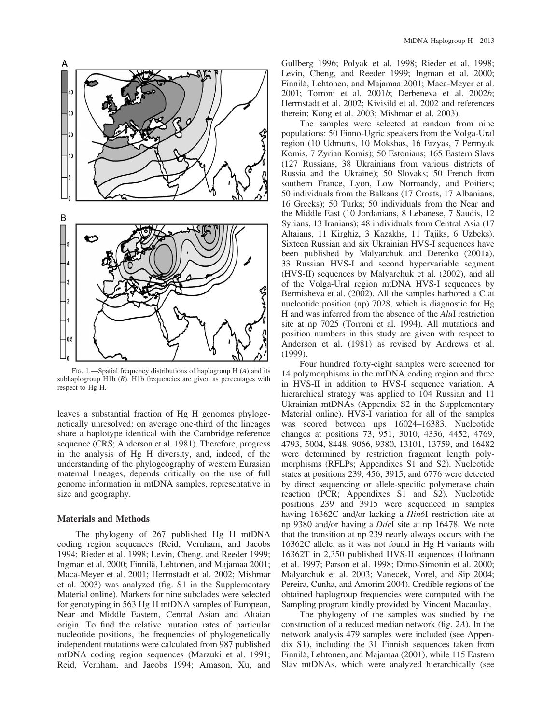

FIG. 1.—Spatial frequency distributions of haplogroup  $H(A)$  and its subhaplogroup  $H1b$  ( $B$ ).  $H1b$  frequencies are given as percentages with respect to Hg H.

leaves a substantial fraction of Hg H genomes phylogenetically unresolved: on average one-third of the lineages share a haplotype identical with the Cambridge reference sequence (CRS; Anderson et al. 1981). Therefore, progress in the analysis of Hg H diversity, and, indeed, of the understanding of the phylogeography of western Eurasian maternal lineages, depends critically on the use of full genome information in mtDNA samples, representative in size and geography.

### Materials and Methods

The phylogeny of 267 published Hg H mtDNA coding region sequences (Reid, Vernham, and Jacobs 1994; Rieder et al. 1998; Levin, Cheng, and Reeder 1999; Ingman et al. 2000; Finnilä, Lehtonen, and Majamaa 2001; Maca-Meyer et al. 2001; Herrnstadt et al. 2002; Mishmar et al. 2003) was analyzed (fig. S1 in the Supplementary Material online). Markers for nine subclades were selected for genotyping in 563 Hg H mtDNA samples of European, Near and Middle Eastern, Central Asian and Altaian origin. To find the relative mutation rates of particular nucleotide positions, the frequencies of phylogenetically independent mutations were calculated from 987 published mtDNA coding region sequences (Marzuki et al. 1991; Reid, Vernham, and Jacobs 1994; Arnason, Xu, and

Gullberg 1996; Polyak et al. 1998; Rieder et al. 1998; Levin, Cheng, and Reeder 1999; Ingman et al. 2000; Finnilä, Lehtonen, and Majamaa 2001; Maca-Meyer et al. 2001; Torroni et al. 2001b; Derbeneva et al. 2002b; Herrnstadt et al. 2002; Kivisild et al. 2002 and references therein; Kong et al. 2003; Mishmar et al. 2003).

The samples were selected at random from nine populations: 50 Finno-Ugric speakers from the Volga-Ural region (10 Udmurts, 10 Mokshas, 16 Erzyas, 7 Permyak Komis, 7 Zyrian Komis); 50 Estonians; 165 Eastern Slavs (127 Russians, 38 Ukrainians from various districts of Russia and the Ukraine); 50 Slovaks; 50 French from southern France, Lyon, Low Normandy, and Poitiers; 50 individuals from the Balkans (17 Croats, 17 Albanians, 16 Greeks); 50 Turks; 50 individuals from the Near and the Middle East (10 Jordanians, 8 Lebanese, 7 Saudis, 12 Syrians, 13 Iranians); 48 individuals from Central Asia (17 Altaians, 11 Kirghiz, 3 Kazakhs, 11 Tajiks, 6 Uzbeks). Sixteen Russian and six Ukrainian HVS-I sequences have been published by Malyarchuk and Derenko (2001a), 33 Russian HVS-I and second hypervariable segment (HVS-II) sequences by Malyarchuk et al. (2002), and all of the Volga-Ural region mtDNA HVS-I sequences by Bermisheva et al. (2002). All the samples harbored a C at nucleotide position (np) 7028, which is diagnostic for Hg H and was inferred from the absence of the AluI restriction site at np 7025 (Torroni et al. 1994). All mutations and position numbers in this study are given with respect to Anderson et al. (1981) as revised by Andrews et al. (1999).

Four hundred forty-eight samples were screened for 14 polymorphisms in the mtDNA coding region and three in HVS-II in addition to HVS-I sequence variation. A hierarchical strategy was applied to 104 Russian and 11 Ukrainian mtDNAs (Appendix S2 in the Supplementary Material online). HVS-I variation for all of the samples was scored between nps 16024–16383. Nucleotide changes at positions 73, 951, 3010, 4336, 4452, 4769, 4793, 5004, 8448, 9066, 9380, 13101, 13759, and 16482 were determined by restriction fragment length polymorphisms (RFLPs; Appendixes S1 and S2). Nucleotide states at positions 239, 456, 3915, and 6776 were detected by direct sequencing or allele-specific polymerase chain reaction (PCR; Appendixes S1 and S2). Nucleotide positions 239 and 3915 were sequenced in samples having 16362C and/or lacking a *Hin6I* restriction site at np 9380 and/or having a DdeI site at np 16478. We note that the transition at np 239 nearly always occurs with the 16362C allele, as it was not found in Hg H variants with 16362T in 2,350 published HVS-II sequences (Hofmann et al. 1997; Parson et al. 1998; Dimo-Simonin et al. 2000; Malyarchuk et al. 2003; Vanecek, Vorel, and Sip 2004; Pereira, Cunha, and Amorim 2004). Credible regions of the obtained haplogroup frequencies were computed with the Sampling program kindly provided by Vincent Macaulay.

The phylogeny of the samples was studied by the construction of a reduced median network (fig. 2A). In the network analysis 479 samples were included (see Appendix S1), including the 31 Finnish sequences taken from Finnila¨, Lehtonen, and Majamaa (2001), while 115 Eastern Slav mtDNAs, which were analyzed hierarchically (see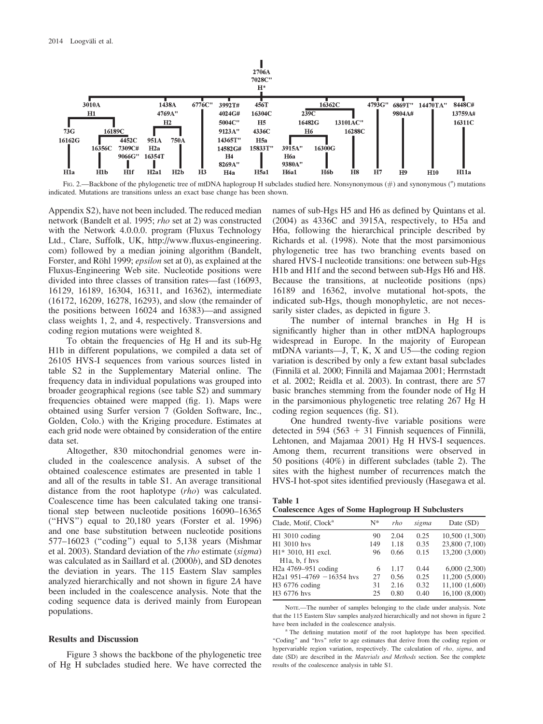

FIG. 2.—Backbone of the phylogenetic tree of mtDNA haplogroup H subclades studied here. Nonsynonymous (#) and synonymous (") mutations indicated. Mutations are transitions unless an exact base change has been shown.

Appendix S2), have not been included. The reduced median network (Bandelt et al. 1995; rho set at 2) was constructed with the Network 4.0.0.0. program (Fluxus Technology Ltd., Clare, Suffolk, UK, [http://www.fluxus-engineering.](http://www.fluxus-engineering.com) [com\)](http://www.fluxus-engineering.com) followed by a median joining algorithm (Bandelt, Forster, and Röhl 1999; epsilon set at 0), as explained at the Fluxus-Engineering Web site. Nucleotide positions were divided into three classes of transition rates—fast (16093, 16129, 16189, 16304, 16311, and 16362), intermediate (16172, 16209, 16278, 16293), and slow (the remainder of the positions between 16024 and 16383)—and assigned class weights 1, 2, and 4, respectively. Transversions and coding region mutations were weighted 8.

To obtain the frequencies of Hg H and its sub-Hg H1b in different populations, we compiled a data set of 26105 HVS-I sequences from various sources listed in table S2 in the Supplementary Material online. The frequency data in individual populations was grouped into broader geographical regions (see table S2) and summary frequencies obtained were mapped (fig. 1). Maps were obtained using Surfer version 7 (Golden Software, Inc., Golden, Colo.) with the Kriging procedure. Estimates at each grid node were obtained by consideration of the entire data set.

Altogether, 830 mitochondrial genomes were included in the coalescence analysis. A subset of the obtained coalescence estimates are presented in table 1 and all of the results in table S1. An average transitional distance from the root haplotype (*rho*) was calculated. Coalescence time has been calculated taking one transitional step between nucleotide positions 16090–16365 (''HVS'') equal to 20,180 years (Forster et al. 1996) and one base substitution between nucleotide positions 577–16023 (''coding'') equal to 5,138 years (Mishmar et al. 2003). Standard deviation of the rho estimate (sigma) was calculated as in Saillard et al. (2000b), and SD denotes the deviation in years. The 115 Eastern Slav samples analyzed hierarchically and not shown in figure 2A have been included in the coalescence analysis. Note that the coding sequence data is derived mainly from European populations.

#### Results and Discussion

Figure 3 shows the backbone of the phylogenetic tree of Hg H subclades studied here. We have corrected the names of sub-Hgs H5 and H6 as defined by Quintans et al. (2004) as 4336C and 3915A, respectively, to H5a and H6a, following the hierarchical principle described by Richards et al. (1998). Note that the most parsimonious phylogenetic tree has two branching events based on shared HVS-I nucleotide transitions: one between sub-Hgs H1b and H1f and the second between sub-Hgs H6 and H8. Because the transitions, at nucleotide positions (nps) 16189 and 16362, involve mutational hot-spots, the indicated sub-Hgs, though monophyletic, are not necessarily sister clades, as depicted in figure 3.

The number of internal branches in Hg H is significantly higher than in other mtDNA haplogroups widespread in Europe. In the majority of European mtDNA variants—J, T, K, X and U5—the coding region variation is described by only a few extant basal subclades (Finnila¨ et al. 2000; Finnila¨ and Majamaa 2001; Herrnstadt et al. 2002; Reidla et al. 2003). In contrast, there are 57 basic branches stemming from the founder node of Hg H in the parsimonious phylogenetic tree relating 267 Hg H coding region sequences (fig. S1).

One hundred twenty-five variable positions were detected in 594 (563 + 31 Finnish sequences of Finnila, Lehtonen, and Majamaa 2001) Hg H HVS-I sequences. Among them, recurrent transitions were observed in 50 positions (40%) in different subclades (table 2). The sites with the highest number of recurrences match the HVS-I hot-spot sites identified previously (Hasegawa et al.



|  |  |  | <b>Coalescence Ages of Some Haplogroup H Subclusters</b> |  |  |
|--|--|--|----------------------------------------------------------|--|--|
|--|--|--|----------------------------------------------------------|--|--|

| Clade, Motif, Clock <sup>a</sup>            | N*  | rho  | sigma | Date (SD)      |
|---------------------------------------------|-----|------|-------|----------------|
| $H1$ 3010 coding                            | 90  | 2.04 | 0.25  | 10,500 (1,300) |
| H1 3010 hvs                                 | 149 | 1.18 | 0.35  | 23,800 (7,100) |
| H <sub>1</sub> * 3010, H <sub>1</sub> excl. | 96  | 0.66 | 0.15  | 13,200 (3,000) |
| H <sub>1</sub> a, b, f hys                  |     |      |       |                |
| H <sub>2</sub> a 4769-951 coding            | 6   | 1.17 | 0.44  | 6,000(2,300)   |
| H <sub>2</sub> a1 951-4769 -16354 hvs       | 27  | 0.56 | 0.25  | 11,200 (5,000) |
| H3 6776 coding                              | 31  | 2.16 | 0.32  | 11,100 (1,600) |
| H3 6776 hvs                                 | 25  | 0.80 | 0.40  | 16,100 (8,000) |

NoTE.—The number of samples belonging to the clade under analysis. Note that the 115 Eastern Slav samples analyzed hierarchically and not shown in figure 2 have been included in the coalescence analysis.

The defining mutation motif of the root haplotype has been specified. ''Coding'' and ''hvs'' refer to age estimates that derive from the coding region or hypervariable region variation, respectively. The calculation of rho, sigma, and date (SD) are described in the Materials and Methods section. See the complete results of the coalescence analysis in table S1.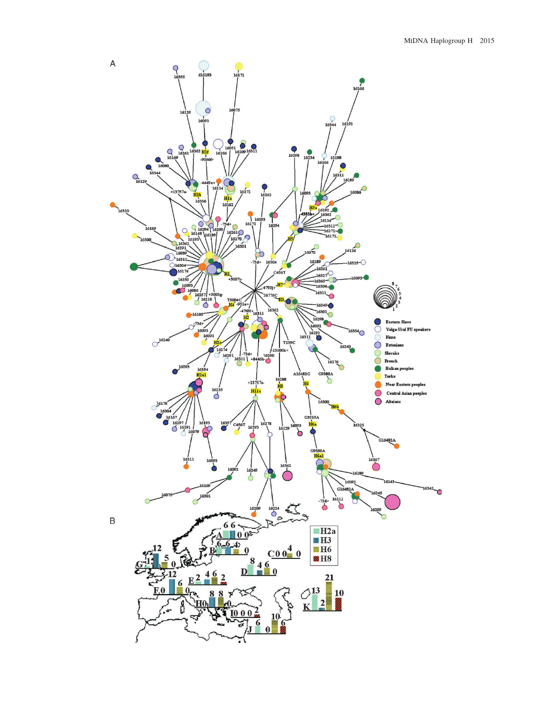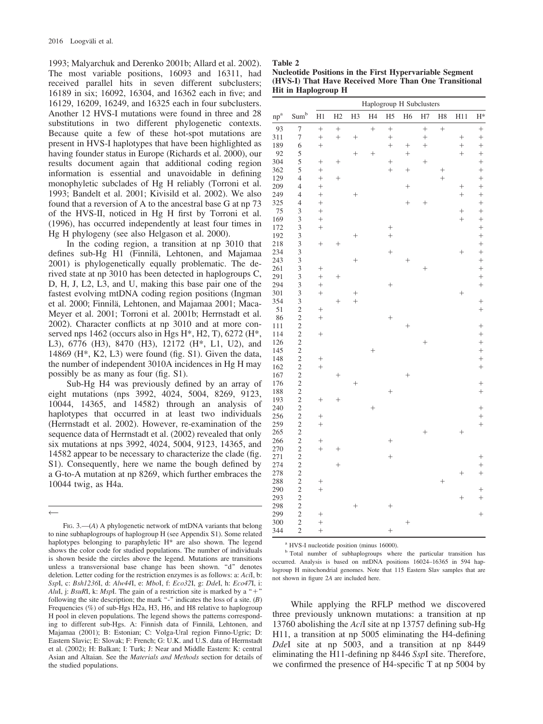1993; Malyarchuk and Derenko 2001b; Allard et al. 2002). The most variable positions, 16093 and 16311, had received parallel hits in seven different subclusters; 16189 in six; 16092, 16304, and 16362 each in five; and 16129, 16209, 16249, and 16325 each in four subclusters. Another 12 HVS-I mutations were found in three and 28 substitutions in two different phylogenetic contexts. Because quite a few of these hot-spot mutations are present in HVS-I haplotypes that have been highlighted as having founder status in Europe (Richards et al. 2000), our results document again that additional coding region information is essential and unavoidable in defining monophyletic subclades of Hg H reliably (Torroni et al. 1993; Bandelt et al. 2001; Kivisild et al. 2002). We also found that a reversion of A to the ancestral base G at np 73 of the HVS-II, noticed in Hg H first by Torroni et al. (1996), has occurred independently at least four times in Hg H phylogeny (see also Helgason et al. 2000).

In the coding region, a transition at np 3010 that defines sub-Hg H1 (Finnilä, Lehtonen, and Majamaa 2001) is phylogenetically equally problematic. The derived state at np 3010 has been detected in haplogroups C, D, H, J, L2, L3, and U, making this base pair one of the fastest evolving mtDNA coding region positions (Ingman et al. 2000; Finnilä, Lehtonen, and Majamaa 2001; Maca-Meyer et al. 2001; Torroni et al. 2001b; Herrnstadt et al. 2002). Character conflicts at np 3010 and at more conserved nps 1462 (occurs also in Hgs H\*, H2, T), 6272 (H\*, L3), 6776 (H3), 8470 (H3), 12172 (H\*, L1, U2), and 14869 (H\*, K2, L3) were found (fig. S1). Given the data, the number of independent 3010A incidences in Hg H may possibly be as many as four (fig. S1).

Sub-Hg H4 was previously defined by an array of eight mutations (nps 3992, 4024, 5004, 8269, 9123, 10044, 14365, and 14582) through an analysis of haplotypes that occurred in at least two individuals (Herrnstadt et al. 2002). However, re-examination of the sequence data of Herrnstadt et al. (2002) revealed that only six mutations at nps 3992, 4024, 5004, 9123, 14365, and 14582 appear to be necessary to characterize the clade (fig. S1). Consequently, here we name the bough defined by a G-to-A mutation at np 8269, which further embraces the 10044 twig, as H4a.

 $\overline{\phantom{0}}$ 

| Table 2                                                 |
|---------------------------------------------------------|
| Nucleotide Positions in the First Hypervariable Segment |
| (HVS-I) That Have Received More Than One Transitional   |
| <b>Hit in Haplogroup H</b>                              |

|        |                         | Haplogroup H Subclusters |           |                |                |                |                    |        |        |           |        |
|--------|-------------------------|--------------------------|-----------|----------------|----------------|----------------|--------------------|--------|--------|-----------|--------|
| $np^a$ | Sum <sup>b</sup>        | H1                       | H2        | H <sub>3</sub> | H <sub>4</sub> | H <sub>5</sub> | H <sub>6</sub>     | H7     | H8     | H11       | $H^*$  |
| 93     | $\overline{7}$          | $^{+}$                   | $^{+}$    |                | $^{+}$         | $^{+}$         |                    | $^{+}$ | $^{+}$ |           | $^{+}$ |
| 311    | $\boldsymbol{7}$        | $^{+}$                   | $\ddot{}$ | $^{+}$         |                | $^{+}$         |                    | $^{+}$ |        | $^{+}$    | $^{+}$ |
| 189    | 6                       | $^{+}$                   |           |                |                |                | $^{+}$             | $^{+}$ |        | $^{+}$    | $^{+}$ |
| 92     | 5                       |                          |           | $^{+}$         | $^{+}$         |                | $^{+}$             |        |        | $^{+}$    | $^{+}$ |
| 304    | 5                       | $^{+}$                   | $^{+}$    |                |                | $^{+}$         |                    | $^{+}$ |        |           | $^{+}$ |
| 362    | 5                       | $^{+}$                   |           |                |                |                | $^{+}$             |        | $^{+}$ |           | $^{+}$ |
| 129    | $\overline{4}$          | $^{+}$                   | $^{+}$    |                |                |                |                    |        | $^{+}$ |           | $^{+}$ |
| 209    | $\overline{4}$          | $^{+}$                   |           |                |                |                | $^{+}$             |        |        | $^{+}$    | $^{+}$ |
| 249    | $\overline{4}$          | $^{+}$                   |           | $^{+}$         |                |                |                    |        |        | $\ddot{}$ | $^{+}$ |
| 325    | $\overline{4}$          | $^{+}$                   |           |                |                |                | $^{+}$             | $^{+}$ |        |           | $^{+}$ |
| 75     | 3                       | $^{+}$                   |           |                |                |                |                    |        |        | $^{+}$    | $^{+}$ |
| 169    | 3                       | $^{+}$                   |           |                |                |                |                    |        |        | $^{+}$    | $^{+}$ |
| 172    | 3                       | $^{+}$                   |           |                |                | $^{+}$         |                    |        |        |           | $^{+}$ |
| 192    | 3                       |                          |           | $^{+}$         |                | $\ddot{}$      |                    |        |        |           | $^{+}$ |
| 218    | 3                       |                          | $^{+}$    |                |                |                |                    |        |        |           | $^{+}$ |
| 234    | 3                       |                          |           |                |                | $^{+}$         |                    |        |        | $^{+}$    | $^{+}$ |
| 243    | 3                       |                          |           | $^{+}$         |                |                | $^{+}$             |        |        |           | $^{+}$ |
| 261    | 3                       | $^{+}$                   |           |                |                |                |                    | $^{+}$ |        |           | $^{+}$ |
| 291    | 3                       | $^{+}$                   | $^{+}$    |                |                |                |                    |        |        |           | $^{+}$ |
| 294    | 3                       | $^{+}$                   |           |                |                | $^{+}$         |                    |        |        |           | $^{+}$ |
| 301    | 3                       | $^{+}$                   |           | $^{+}$         |                |                |                    |        |        | $^{+}$    |        |
| 354    | 3                       |                          | $^{+}$    | $^{+}$         |                |                |                    |        |        |           | $^{+}$ |
| 51     | $\overline{\mathbf{c}}$ | $^{+}$                   |           |                |                |                |                    |        |        |           | $^{+}$ |
| 86     | $\overline{\mathbf{c}}$ | $^{+}$                   |           |                |                | $^{+}$         |                    |        |        |           |        |
| 111    | $\overline{c}$          |                          |           |                |                |                | $^{+}$             |        |        |           | $^{+}$ |
| 114    | $\overline{c}$          | $^{+}$                   |           |                |                |                |                    |        |        |           | $^{+}$ |
| 126    | $\overline{c}$          |                          |           |                |                |                |                    | $^{+}$ |        |           | $^{+}$ |
| 145    |                         |                          |           |                | $^{+}$         |                |                    |        |        |           | $^{+}$ |
| 148    | $\frac{2}{2}$           | $^{+}$                   |           |                |                |                |                    |        |        |           | $^{+}$ |
| 162    | $\overline{c}$          | $^{+}$                   |           |                |                |                |                    |        |        |           | $^{+}$ |
| 167    | $\overline{c}$          |                          | $^{+}$    |                |                |                | $\hspace{0.1mm} +$ |        |        |           |        |
| 176    | $\overline{c}$          |                          |           | $^{+}$         |                |                |                    |        |        |           | $^{+}$ |
| 188    |                         |                          |           |                |                | $^{+}$         |                    |        |        |           | $^{+}$ |
| 193    | $\frac{2}{2}$           | $^{+}$                   | $^{+}$    |                |                |                |                    |        |        |           |        |
| 240    | $\overline{c}$          |                          |           |                | $^{+}$         |                |                    |        |        |           | $^{+}$ |
| 256    | $\overline{c}$          | $^{+}$                   |           |                |                |                |                    |        |        |           | $^{+}$ |
| 259    | $\overline{c}$          | $^{+}$                   |           |                |                |                |                    |        |        |           | $^{+}$ |
| 265    | $\overline{\mathbf{c}}$ |                          |           |                |                |                |                    | $^{+}$ |        | $^{+}$    |        |
| 266    | $\overline{c}$          | $^{+}$                   |           |                |                | $^{+}$         |                    |        |        |           |        |
| 270    | $\overline{c}$          | $^{+}$                   | $^{+}$    |                |                |                |                    |        |        |           |        |
| 271    | $\overline{c}$          |                          |           |                |                | $^{+}$         |                    |        |        |           | $^{+}$ |
| 274    |                         |                          | $^{+}$    |                |                |                |                    |        |        |           | $^{+}$ |
| 278    | $\frac{2}{2}$           |                          |           |                |                |                |                    |        |        | $^{+}$    | $^{+}$ |
| 288    |                         |                          |           |                |                |                |                    |        | $^{+}$ |           |        |
| 290    | $\frac{2}{2}$           | $^{+}$                   |           |                |                |                |                    |        |        |           | $^+$   |
| 293    | $\overline{c}$          |                          |           |                |                |                |                    |        |        | $^{+}$    | $^{+}$ |
| 298    | $\overline{\mathbf{c}}$ |                          |           | $^{+}$         |                | $^{+}$         |                    |        |        |           |        |
| 299    | $\overline{c}$          | $^{+}$                   |           |                |                |                |                    |        |        |           | $^{+}$ |
| 300    | $\overline{\mathbf{c}}$ | $^{+}$                   |           |                |                |                | $^{+}$             |        |        |           |        |
| 344    | $\overline{c}$          | $^{+}$                   |           |                |                | $^{+}$         |                    |        |        |           |        |

<sup>a</sup> HVS-I nucleotide position (minus 16000).

<sup>b</sup> Total number of subhaplogroups where the particular transition has occurred. Analysis is based on mtDNA positions 16024–16365 in 594 haplogroup H mitochondrial genomes. Note that 115 Eastern Slav samples that are not shown in figure 2A are included here.

While applying the RFLP method we discovered three previously unknown mutations: a transition at np 13760 abolishing the AciI site at np 13757 defining sub-Hg H11, a transition at np 5005 eliminating the H4-defining DdeI site at np 5003, and a transition at np 8449 eliminating the H11-defining np 8446 SspI site. Therefore, we confirmed the presence of H4-specific T at np 5004 by

FIG. 3.—(A) A phylogenetic network of mtDNA variants that belong to nine subhaplogroups of haplogroup H (see Appendix S1). Some related haplotypes belonging to paraphyletic H\* are also shown. The legend shows the color code for studied populations. The number of individuals is shown beside the circles above the legend. Mutations are transitions unless a transversional base change has been shown. ''d'' denotes deletion. Letter coding for the restriction enzymes is as follows: a: AciI, b: SspI, c: Bsh1236I, d: Alw44I, e: MboI, f: Eco32I, g: DdeI, h: Eco47I, i: AluI, j: BsuRI, k: MspI. The gain of a restriction site is marked by a "+" following the site description; the mark "-" indicates the loss of a site.  $(B)$ Frequencies (%) of sub-Hgs H2a, H3, H6, and H8 relative to haplogroup H pool in eleven populations. The legend shows the patterns corresponding to different sub-Hgs. A: Finnish data of Finnilä, Lehtonen, and Majamaa (2001); B: Estonian; C: Volga-Ural region Finno-Ugric; D: Eastern Slavic; E: Slovak; F: French; G: U.K. and U.S. data of Herrnstadt et al. (2002); H: Balkan; I: Turk; J: Near and Middle Eastern: K: central Asian and Altaian. See the Materials and Methods section for details of the studied populations.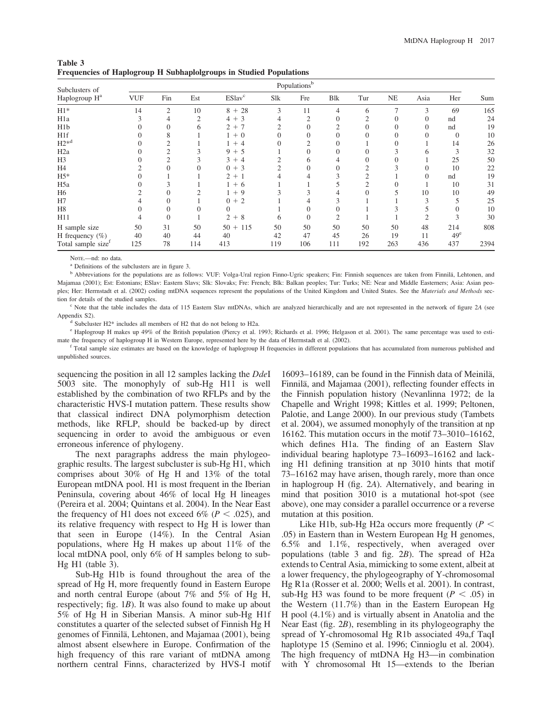| Table 3                                                                   |  |  |
|---------------------------------------------------------------------------|--|--|
| <b>Frequencies of Haplogroup H Subhaplolgroups in Studied Populations</b> |  |  |

| Subclusters of                 | Populations <sup>b</sup> |          |               |                           |                |                |             |     |           |          |                 |      |
|--------------------------------|--------------------------|----------|---------------|---------------------------|----------------|----------------|-------------|-----|-----------|----------|-----------------|------|
| Haplogroup H <sup>a</sup>      | <b>VUF</b>               | Fin      | Est           | <b>ESlav</b> <sup>c</sup> | Slk            | Fre            | <b>B</b> lk | Tur | <b>NE</b> | Asia     | Her             | Sum  |
| $H1*$                          | 14                       | 2        | 10            | $8 + 28$                  | 3              | 11             |             | 6   |           | 3        | 69              | 165  |
| H1a                            |                          | 4        | $\mathcal{L}$ | $4 + 3$                   |                | $\overline{2}$ |             |     |           | $\Omega$ | nd              | 24   |
| H <sub>1</sub> b               |                          | 0        | 6             | $+7$<br>$\overline{2}$    | $\overline{c}$ |                |             |     |           | 0        | nd              | 19   |
| H <sub>1f</sub>                |                          | 8        |               | $+0$                      |                |                |             |     |           |          | $\Omega$        | 10   |
| $H2*^{d}$                      |                          |          |               | $+4$                      |                |                |             |     |           |          | 14              | 26   |
| H <sub>2</sub> a               |                          | C        |               | $9 + 5$                   |                |                |             |     |           | h.       | 3               | 32   |
| H <sub>3</sub>                 |                          | າ        |               | 3<br>$+4$                 |                | 6              |             |     |           |          | 25              | 50   |
| H4                             |                          |          |               | $0 + 3$                   | $\overline{c}$ |                |             | 2   |           | $\Omega$ | 10              | 22   |
| $H5*$                          |                          |          |               | $2 + 1$                   |                |                |             | 2   |           |          | nd              | 19   |
| H <sub>5</sub> a               |                          | 3        |               | $+6$                      |                |                |             |     |           |          | 10              | 31   |
| H <sub>6</sub>                 |                          | 0        |               | $+9$                      |                |                |             |     |           | 10       | 10              | 49   |
| H7                             |                          |          |               | $0 + 2$                   |                |                |             |     |           |          |                 | 25   |
| H <sub>8</sub>                 |                          |          |               | 0                         |                |                |             |     |           |          | 0               | 10   |
| H11                            |                          | $\theta$ |               | $\overline{2}$<br>$+8$    | 6              |                |             |     |           | ◠        |                 | 30   |
| H sample size                  | 50                       | 31       | 50            | $50 + 115$                | 50             | 50             | 50          | 50  | 50        | 48       | 214             | 808  |
| H frequency $(\%)$             | 40                       | 40       | 44            | 40                        | 42             | 47             | 45          | 26  | 19        | 11       | 49 <sup>e</sup> |      |
| Total sample size <sup>1</sup> | 125                      | 78       | 114           | 413                       | 119            | 106            | 111         | 192 | 263       | 436      | 437             | 2394 |

NoTE.—nd: no data.

<sup>a</sup> Definitions of the subclusters are in figure 3.

<sup>b</sup> Abbreviations for the populations are as follows: VUF: Volga-Ural region Finno-Ugric speakers; Fin: Finnish sequences are taken from Finnilä, Lehtonen, and Majamaa (2001); Est: Estonians; ESlav: Eastern Slavs; Slk: Slovaks; Fre: French; Blk: Balkan peoples; Tur: Turks; NE: Near and Middle Easterners; Asia: Asian peoples; Her: Herrnstadt et al. (2002) coding mtDNA sequences represent the populations of the United Kingdom and United States. See the Materials and Methods section for details of the studied samples.

<sup>c</sup> Note that the table includes the data of 115 Eastern Slav mtDNAs, which are analyzed hierarchically and are not represented in the network of figure 2A (see Appendix S2).

<sup>d</sup> Subcluster H2\* includes all members of H2 that do not belong to H2a.

<sup>e</sup> Haplogroup H makes up 49% of the British population (Piercy et al. 1993; Richards et al. 1996; Helgason et al. 2001). The same percentage was used to estimate the frequency of haplogroup H in Western Europe, represented here by the data of Herrnstadt et al. (2002).

<sup>1</sup> Total sample size estimates are based on the knowledge of haplogroup H frequencies in different populations that has accumulated from numerous published and unpublished sources.

sequencing the position in all 12 samples lacking the *DdeI* 5003 site. The monophyly of sub-Hg H11 is well established by the combination of two RFLPs and by the characteristic HVS-I mutation pattern. These results show that classical indirect DNA polymorphism detection methods, like RFLP, should be backed-up by direct sequencing in order to avoid the ambiguous or even erroneous inference of phylogeny.

The next paragraphs address the main phylogeographic results. The largest subcluster is sub-Hg H1, which comprises about 30% of Hg H and 13% of the total European mtDNA pool. H1 is most frequent in the Iberian Peninsula, covering about 46% of local Hg H lineages (Pereira et al. 2004; Quintans et al. 2004). In the Near East the frequency of H1 does not exceed 6% ( $P < .025$ ), and its relative frequency with respect to Hg H is lower than that seen in Europe (14%). In the Central Asian populations, where Hg H makes up about 11% of the local mtDNA pool, only 6% of H samples belong to sub-Hg H1 (table 3).

Sub-Hg H1b is found throughout the area of the spread of Hg H, more frequently found in Eastern Europe and north central Europe (about 7% and 5% of Hg H, respectively; fig. 1B). It was also found to make up about 5% of Hg H in Siberian Mansis. A minor sub-Hg H1f constitutes a quarter of the selected subset of Finnish Hg H genomes of Finnilä, Lehtonen, and Majamaa (2001), being almost absent elsewhere in Europe. Confirmation of the high frequency of this rare variant of mtDNA among northern central Finns, characterized by HVS-I motif

16093–16189, can be found in the Finnish data of Meinilä, Finnilä, and Majamaa (2001), reflecting founder effects in the Finnish population history (Nevanlinna 1972; de la Chapelle and Wright 1998; Kittles et al. 1999; Peltonen, Palotie, and Lange 2000). In our previous study (Tambets et al. 2004), we assumed monophyly of the transition at np 16162. This mutation occurs in the motif 73–3010–16162, which defines H1a. The finding of an Eastern Slav individual bearing haplotype 73–16093–16162 and lacking H1 defining transition at np 3010 hints that motif 73–16162 may have arisen, though rarely, more than once in haplogroup H (fig. 2A). Alternatively, and bearing in mind that position 3010 is a mutational hot-spot (see above), one may consider a parallel occurrence or a reverse mutation at this position.

Like H1b, sub-Hg H2a occurs more frequently  $(P <$ .05) in Eastern than in Western European Hg H genomes, 6.5% and 1.1%, respectively, when averaged over populations (table 3 and fig. 2B). The spread of H2a extends to Central Asia, mimicking to some extent, albeit at a lower frequency, the phylogeography of Y-chromosomal Hg R1a (Rosser et al. 2000; Wells et al. 2001). In contrast, sub-Hg H3 was found to be more frequent ( $P < .05$ ) in the Western (11.7%) than in the Eastern European Hg H pool (4.1%) and is virtually absent in Anatolia and the Near East (fig. 2B), resembling in its phylogeography the spread of Y-chromosomal Hg R1b associated 49a,f TaqI haplotype 15 (Semino et al. 1996; Cinnioglu et al. 2004). The high frequency of mtDNA Hg H3—in combination with Y chromosomal Ht 15—extends to the Iberian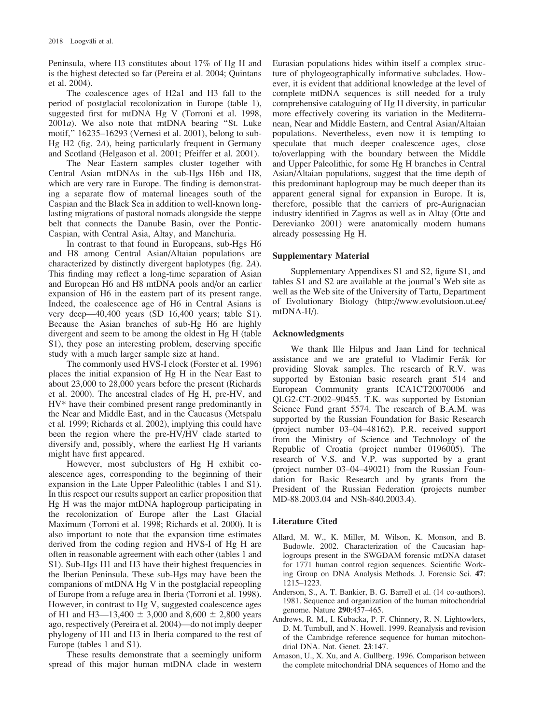Peninsula, where H3 constitutes about 17% of Hg H and is the highest detected so far (Pereira et al. 2004; Quintans et al. 2004).

The coalescence ages of H2a1 and H3 fall to the period of postglacial recolonization in Europe (table 1), suggested first for mtDNA Hg V (Torroni et al. 1998,  $2001a$ ). We also note that mtDNA bearing "St. Luke motif,'' 16235–16293 (Vernesi et al. 2001), belong to sub-Hg H2 (fig. 2A), being particularly frequent in Germany and Scotland (Helgason et al. 2001; Pfeiffer et al. 2001).

The Near Eastern samples cluster together with Central Asian mtDNAs in the sub-Hgs H6b and H8, which are very rare in Europe. The finding is demonstrating a separate flow of maternal lineages south of the Caspian and the Black Sea in addition to well-known longlasting migrations of pastoral nomads alongside the steppe belt that connects the Danube Basin, over the Pontic-Caspian, with Central Asia, Altay, and Manchuria.

In contrast to that found in Europeans, sub-Hgs H6 and H8 among Central Asian/Altaian populations are characterized by distinctly divergent haplotypes (fig. 2A). This finding may reflect a long-time separation of Asian and European H6 and H8 mtDNA pools and/or an earlier expansion of H6 in the eastern part of its present range. Indeed, the coalescence age of H6 in Central Asians is very deep—40,400 years (SD 16,400 years; table S1). Because the Asian branches of sub-Hg H6 are highly divergent and seem to be among the oldest in Hg H (table S1), they pose an interesting problem, deserving specific study with a much larger sample size at hand.

The commonly used HVS-I clock (Forster et al. 1996) places the initial expansion of Hg H in the Near East to about 23,000 to 28,000 years before the present (Richards et al. 2000). The ancestral clades of Hg H, pre-HV, and HV\* have their combined present range predominantly in the Near and Middle East, and in the Caucasus (Metspalu et al. 1999; Richards et al. 2002), implying this could have been the region where the pre-HV/HV clade started to diversify and, possibly, where the earliest Hg H variants might have first appeared.

However, most subclusters of Hg H exhibit coalescence ages, corresponding to the beginning of their expansion in the Late Upper Paleolithic (tables 1 and S1). In this respect our results support an earlier proposition that Hg H was the major mtDNA haplogroup participating in the recolonization of Europe after the Last Glacial Maximum (Torroni et al. 1998; Richards et al. 2000). It is also important to note that the expansion time estimates derived from the coding region and HVS-I of Hg H are often in reasonable agreement with each other (tables 1 and S1). Sub-Hgs H1 and H3 have their highest frequencies in the Iberian Peninsula. These sub-Hgs may have been the companions of mtDNA Hg V in the postglacial repeopling of Europe from a refuge area in Iberia (Torroni et al. 1998). However, in contrast to Hg V, suggested coalescence ages of H1 and H3—13,400  $\pm$  3,000 and 8,600  $\pm$  2,800 years ago, respectively (Pereira et al. 2004)—do not imply deeper phylogeny of H1 and H3 in Iberia compared to the rest of Europe (tables 1 and S1).

These results demonstrate that a seemingly uniform spread of this major human mtDNA clade in western Eurasian populations hides within itself a complex structure of phylogeographically informative subclades. However, it is evident that additional knowledge at the level of complete mtDNA sequences is still needed for a truly comprehensive cataloguing of Hg H diversity, in particular more effectively covering its variation in the Mediterranean, Near and Middle Eastern, and Central Asian/Altaian populations. Nevertheless, even now it is tempting to speculate that much deeper coalescence ages, close to/overlapping with the boundary between the Middle and Upper Paleolithic, for some Hg H branches in Central Asian/Altaian populations, suggest that the time depth of this predominant haplogroup may be much deeper than its apparent general signal for expansion in Europe. It is, therefore, possible that the carriers of pre-Aurignacian industry identified in Zagros as well as in Altay (Otte and Derevianko 2001) were anatomically modern humans already possessing Hg H.

# Supplementary Material

Supplementary Appendixes S1 and S2, figure S1, and tables S1 and S2 are available at the journal's Web site as well as the Web site of the University of Tartu, Department of Evolutionary Biology [\(http://www.evolutsioon.ut.ee/](http://www.evolutsioon.ut.ee/mtDNA-H/) [mtDNA-H/\)](http://www.evolutsioon.ut.ee/mtDNA-H/).

# Acknowledgments

We thank Ille Hilpus and Jaan Lind for technical assistance and we are grateful to Vladimir Ferák for providing Slovak samples. The research of R.V. was supported by Estonian basic research grant 514 and European Community grants ICA1CT20070006 and QLG2-CT-2002–90455. T.K. was supported by Estonian Science Fund grant 5574. The research of B.A.M. was supported by the Russian Foundation for Basic Research (project number 03–04–48162). P.R. received support from the Ministry of Science and Technology of the Republic of Croatia (project number 0196005). The research of V.S. and V.P. was supported by a grant (project number 03–04–49021) from the Russian Foundation for Basic Research and by grants from the President of the Russian Federation (projects number MD-88.2003.04 and NSh-840.2003.4).

# Literature Cited

- Allard, M. W., K. Miller, M. Wilson, K. Monson, and B. Budowle. 2002. Characterization of the Caucasian haplogroups present in the SWGDAM forensic mtDNA dataset for 1771 human control region sequences. Scientific Working Group on DNA Analysis Methods. J. Forensic Sci. 47: 1215–1223.
- Anderson, S., A. T. Bankier, B. G. Barrell et al. (14 co-authors). 1981. Sequence and organization of the human mitochondrial genome. Nature 290:457–465.
- Andrews, R. M., I. Kubacka, P. F. Chinnery, R. N. Lightowlers, D. M. Turnbull, and N. Howell. 1999. Reanalysis and revision of the Cambridge reference sequence for human mitochondrial DNA. Nat. Genet. 23:147.
- Arnason, U., X. Xu, and A. Gullberg. 1996. Comparison between the complete mitochondrial DNA sequences of Homo and the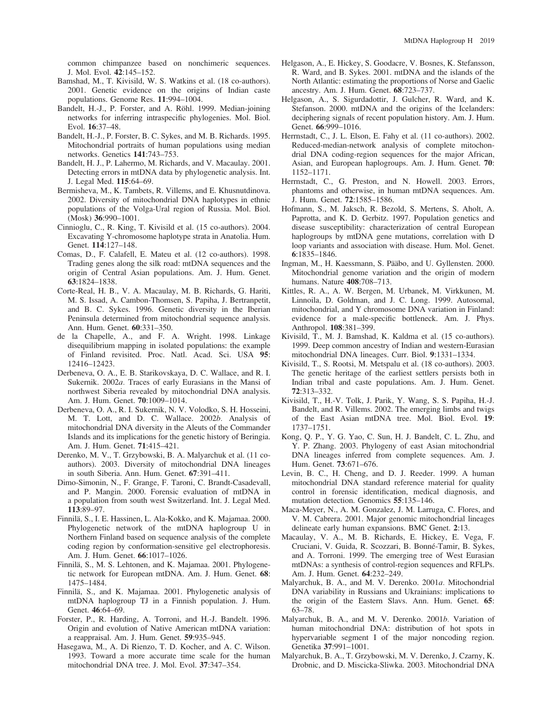common chimpanzee based on nonchimeric sequences. J. Mol. Evol. 42:145–152.

- Bamshad, M., T. Kivisild, W. S. Watkins et al. (18 co-authors). 2001. Genetic evidence on the origins of Indian caste populations. Genome Res. 11:994–1004.
- Bandelt, H.-J., P. Forster, and A. Röhl. 1999. Median-joining networks for inferring intraspecific phylogenies. Mol. Biol. Evol. 16:37–48.
- Bandelt, H.-J., P. Forster, B. C. Sykes, and M. B. Richards. 1995. Mitochondrial portraits of human populations using median networks. Genetics 141:743–753.
- Bandelt, H. J., P. Lahermo, M. Richards, and V. Macaulay. 2001. Detecting errors in mtDNA data by phylogenetic analysis. Int. J. Legal Med. 115:64–69.
- Bermisheva, M., K. Tambets, R. Villems, and E. Khusnutdinova. 2002. Diversity of mitochondrial DNA haplotypes in ethnic populations of the Volga-Ural region of Russia. Mol. Biol. (Mosk) 36:990–1001.
- Cinnioglu, C., R. King, T. Kivisild et al. (15 co-authors). 2004. Excavating Y-chromosome haplotype strata in Anatolia. Hum. Genet. 114:127–148.
- Comas, D., F. Calafell, E. Mateu et al. (12 co-authors). 1998. Trading genes along the silk road: mtDNA sequences and the origin of Central Asian populations. Am. J. Hum. Genet. 63:1824–1838.
- Corte-Real, H. B., V. A. Macaulay, M. B. Richards, G. Hariti, M. S. Issad, A. Cambon-Thomsen, S. Papiha, J. Bertranpetit, and B. C. Sykes. 1996. Genetic diversity in the Iberian Peninsula determined from mitochondrial sequence analysis. Ann. Hum. Genet. 60:331–350.
- de la Chapelle, A., and F. A. Wright. 1998. Linkage disequilibrium mapping in isolated populations: the example of Finland revisited. Proc. Natl. Acad. Sci. USA 95: 12416–12423.
- Derbeneva, O. A., E. B. Starikovskaya, D. C. Wallace, and R. I. Sukernik. 2002a. Traces of early Eurasians in the Mansi of northwest Siberia revealed by mitochondrial DNA analysis. Am. J. Hum. Genet. 70:1009–1014.
- Derbeneva, O. A., R. I. Sukernik, N. V. Volodko, S. H. Hosseini, M. T. Lott, and D. C. Wallace. 2002b. Analysis of mitochondrial DNA diversity in the Aleuts of the Commander Islands and its implications for the genetic history of Beringia. Am. J. Hum. Genet. 71:415–421.
- Derenko, M. V., T. Grzybowski, B. A. Malyarchuk et al. (11 coauthors). 2003. Diversity of mitochondrial DNA lineages in south Siberia. Ann. Hum. Genet. 67:391–411.
- Dimo-Simonin, N., F. Grange, F. Taroni, C. Brandt-Casadevall, and P. Mangin. 2000. Forensic evaluation of mtDNA in a population from south west Switzerland. Int. J. Legal Med. 113:89–97.
- Finnila¨, S., I. E. Hassinen, L. Ala-Kokko, and K. Majamaa. 2000. Phylogenetic network of the mtDNA haplogroup U in Northern Finland based on sequence analysis of the complete coding region by conformation-sensitive gel electrophoresis. Am. J. Hum. Genet. 66:1017–1026.
- Finnilä, S., M. S. Lehtonen, and K. Majamaa. 2001. Phylogenetic network for European mtDNA. Am. J. Hum. Genet. 68: 1475–1484.
- Finnila¨, S., and K. Majamaa. 2001. Phylogenetic analysis of mtDNA haplogroup TJ in a Finnish population. J. Hum. Genet. 46:64–69.
- Forster, P., R. Harding, A. Torroni, and H.-J. Bandelt. 1996. Origin and evolution of Native American mtDNA variation: a reappraisal. Am. J. Hum. Genet. 59:935–945.
- Hasegawa, M., A. Di Rienzo, T. D. Kocher, and A. C. Wilson. 1993. Toward a more accurate time scale for the human mitochondrial DNA tree. J. Mol. Evol. 37:347–354.
- Helgason, A., E. Hickey, S. Goodacre, V. Bosnes, K. Stefansson, R. Ward, and B. Sykes. 2001. mtDNA and the islands of the North Atlantic: estimating the proportions of Norse and Gaelic ancestry. Am. J. Hum. Genet. 68:723–737.
- Helgason, A., S. Sigurdadottir, J. Gulcher, R. Ward, and K. Stefanson. 2000. mtDNA and the origins of the Icelanders: deciphering signals of recent population history. Am. J. Hum. Genet. 66:999–1016.
- Herrnstadt, C., J. L. Elson, E. Fahy et al. (11 co-authors). 2002. Reduced-median-network analysis of complete mitochondrial DNA coding-region sequences for the major African, Asian, and European haplogroups. Am. J. Hum. Genet. 70: 1152–1171.
- Herrnstadt, C., G. Preston, and N. Howell. 2003. Errors, phantoms and otherwise, in human mtDNA sequences. Am. J. Hum. Genet. 72:1585–1586.
- Hofmann, S., M. Jaksch, R. Bezold, S. Mertens, S. Aholt, A. Paprotta, and K. D. Gerbitz. 1997. Population genetics and disease susceptibility: characterization of central European haplogroups by mtDNA gene mutations, correlation with D loop variants and association with disease. Hum. Mol. Genet. 6:1835–1846.
- Ingman, M., H. Kaessmann, S. Pääbo, and U. Gyllensten. 2000. Mitochondrial genome variation and the origin of modern humans. Nature 408:708–713.
- Kittles, R. A., A. W. Bergen, M. Urbanek, M. Virkkunen, M. Linnoila, D. Goldman, and J. C. Long. 1999. Autosomal, mitochondrial, and Y chromosome DNA variation in Finland: evidence for a male-specific bottleneck. Am. J. Phys. Anthropol. 108:381–399.
- Kivisild, T., M. J. Bamshad, K. Kaldma et al. (15 co-authors). 1999. Deep common ancestry of Indian and western-Eurasian mitochondrial DNA lineages. Curr. Biol. 9:1331–1334.
- Kivisild, T., S. Rootsi, M. Metspalu et al. (18 co-authors). 2003. The genetic heritage of the earliest settlers persists both in Indian tribal and caste populations. Am. J. Hum. Genet. 72:313–332.
- Kivisild, T., H.-V. Tolk, J. Parik, Y. Wang, S. S. Papiha, H.-J. Bandelt, and R. Villems. 2002. The emerging limbs and twigs of the East Asian mtDNA tree. Mol. Biol. Evol. 19: 1737–1751.
- Kong, Q. P., Y. G. Yao, C. Sun, H. J. Bandelt, C. L. Zhu, and Y. P. Zhang. 2003. Phylogeny of east Asian mitochondrial DNA lineages inferred from complete sequences. Am. J. Hum. Genet. 73:671–676.
- Levin, B. C., H. Cheng, and D. J. Reeder. 1999. A human mitochondrial DNA standard reference material for quality control in forensic identification, medical diagnosis, and mutation detection. Genomics 55:135–146.
- Maca-Meyer, N., A. M. Gonzalez, J. M. Larruga, C. Flores, and V. M. Cabrera. 2001. Major genomic mitochondrial lineages delineate early human expansions. BMC Genet. 2:13.
- Macaulay, V. A., M. B. Richards, E. Hickey, E. Vega, F. Cruciani, V. Guida, R. Scozzari, B. Bonné-Tamir, B. Sykes, and A. Torroni. 1999. The emerging tree of West Eurasian mtDNAs: a synthesis of control-region sequences and RFLPs. Am. J. Hum. Genet. 64:232–249.
- Malyarchuk, B. A., and M. V. Derenko. 2001a. Mitochondrial DNA variability in Russians and Ukrainians: implications to the origin of the Eastern Slavs. Ann. Hum. Genet. 65: 63–78.
- Malyarchuk, B. A., and M. V. Derenko. 2001b. Variation of human mitochondrial DNA: distribution of hot spots in hypervariable segment I of the major noncoding region. Genetika 37:991–1001.
- Malyarchuk, B. A., T. Grzybowski, M. V. Derenko, J. Czarny, K. Drobnic, and D. Miscicka-Sliwka. 2003. Mitochondrial DNA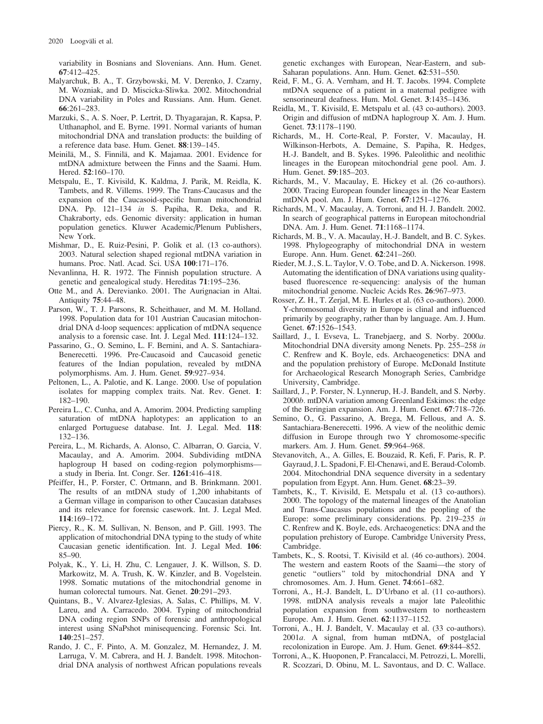variability in Bosnians and Slovenians. Ann. Hum. Genet. 67:412–425.

- Malyarchuk, B. A., T. Grzybowski, M. V. Derenko, J. Czarny, M. Wozniak, and D. Miscicka-Sliwka. 2002. Mitochondrial DNA variability in Poles and Russians. Ann. Hum. Genet. 66:261–283.
- Marzuki, S., A. S. Noer, P. Lertrit, D. Thyagarajan, R. Kapsa, P. Utthanaphol, and E. Byrne. 1991. Normal variants of human mitochondrial DNA and translation products: the building of a reference data base. Hum. Genet. 88:139–145.
- Meinilä, M., S. Finnilä, and K. Majamaa. 2001. Evidence for mtDNA admixture between the Finns and the Saami. Hum. Hered. 52:160–170.
- Metspalu, E., T. Kivisild, K. Kaldma, J. Parik, M. Reidla, K. Tambets, and R. Villems. 1999. The Trans-Caucasus and the expansion of the Caucasoid-specific human mitochondrial DNA. Pp. 121–134 in S. Papiha, R. Deka, and R. Chakraborty, eds. Genomic diversity: application in human population genetics. Kluwer Academic/Plenum Publishers, New York.
- Mishmar, D., E. Ruiz-Pesini, P. Golik et al. (13 co-authors). 2003. Natural selection shaped regional mtDNA variation in humans. Proc. Natl. Acad. Sci. USA 100:171–176.
- Nevanlinna, H. R. 1972. The Finnish population structure. A genetic and genealogical study. Hereditas 71:195–236.
- Otte M., and A. Derevianko. 2001. The Aurignacian in Altai. Antiquity 75:44–48.
- Parson, W., T. J. Parsons, R. Scheithauer, and M. M. Holland. 1998. Population data for 101 Austrian Caucasian mitochondrial DNA d-loop sequences: application of mtDNA sequence analysis to a forensic case. Int. J. Legal Med. 111:124–132.
- Passarino, G., O. Semino, L. F. Bernini, and A. S. Santachiara-Benerecetti. 1996. Pre-Caucasoid and Caucasoid genetic features of the Indian population, revealed by mtDNA polymorphisms. Am. J. Hum. Genet. 59:927–934.
- Peltonen, L., A. Palotie, and K. Lange. 2000. Use of population isolates for mapping complex traits. Nat. Rev. Genet. 1: 182–190.
- Pereira L., C. Cunha, and A. Amorim. 2004. Predicting sampling saturation of mtDNA haplotypes: an application to an enlarged Portuguese database. Int. J. Legal. Med. 118: 132–136.
- Pereira, L., M. Richards, A. Alonso, C. Albarran, O. Garcia, V. Macaulay, and A. Amorim. 2004. Subdividing mtDNA haplogroup H based on coding-region polymorphisms a study in Iberia. Int. Congr. Ser. 1261:416–418.
- Pfeiffer, H., P. Forster, C. Ortmann, and B. Brinkmann. 2001. The results of an mtDNA study of 1,200 inhabitants of a German village in comparison to other Caucasian databases and its relevance for forensic casework. Int. J. Legal Med. 114:169–172.
- Piercy, R., K. M. Sullivan, N. Benson, and P. Gill. 1993. The application of mitochondrial DNA typing to the study of white Caucasian genetic identification. Int. J. Legal Med. 106: 85–90.
- Polyak, K., Y. Li, H. Zhu, C. Lengauer, J. K. Willson, S. D. Markowitz, M. A. Trush, K. W. Kinzler, and B. Vogelstein. 1998. Somatic mutations of the mitochondrial genome in human colorectal tumours. Nat. Genet. 20:291–293.
- Quintans, B., V. Alvarez-Iglesias, A. Salas, C. Phillips, M. V. Lareu, and A. Carracedo. 2004. Typing of mitochondrial DNA coding region SNPs of forensic and anthropological interest using SNaPshot minisequencing. Forensic Sci. Int. 140:251–257.
- Rando, J. C., F. Pinto, A. M. Gonzalez, M. Hernandez, J. M. Larruga, V. M. Cabrera, and H. J. Bandelt. 1998. Mitochondrial DNA analysis of northwest African populations reveals

genetic exchanges with European, Near-Eastern, and sub-Saharan populations. Ann. Hum. Genet. 62:531–550.

- Reid, F. M., G. A. Vernham, and H. T. Jacobs. 1994. Complete mtDNA sequence of a patient in a maternal pedigree with sensorineural deafness. Hum. Mol. Genet. 3:1435–1436.
- Reidla, M., T. Kivisild, E. Metspalu et al. (43 co-authors). 2003. Origin and diffusion of mtDNA haplogroup X. Am. J. Hum. Genet. 73:1178–1190.
- Richards, M., H. Corte-Real, P. Forster, V. Macaulay, H. Wilkinson-Herbots, A. Demaine, S. Papiha, R. Hedges, H.-J. Bandelt, and B. Sykes. 1996. Paleolithic and neolithic lineages in the European mitochondrial gene pool. Am. J. Hum. Genet. 59:185–203.
- Richards, M., V. Macaulay, E. Hickey et al. (26 co-authors). 2000. Tracing European founder lineages in the Near Eastern mtDNA pool. Am. J. Hum. Genet. 67:1251–1276.
- Richards, M., V. Macaulay, A. Torroni, and H. J. Bandelt. 2002. In search of geographical patterns in European mitochondrial DNA. Am. J. Hum. Genet. 71:1168–1174.
- Richards, M. B., V. A. Macaulay, H.-J. Bandelt, and B. C. Sykes. 1998. Phylogeography of mitochondrial DNA in western Europe. Ann. Hum. Genet. 62:241–260.
- Rieder, M. J., S. L. Taylor, V. O. Tobe, and D. A. Nickerson. 1998. Automating the identification of DNA variations using qualitybased fluorescence re-sequencing: analysis of the human mitochondrial genome. Nucleic Acids Res. 26:967–973.
- Rosser, Z. H., T. Zerjal, M. E. Hurles et al. (63 co-authors). 2000. Y-chromosomal diversity in Europe is clinal and influenced primarily by geography, rather than by language. Am. J. Hum. Genet. 67:1526–1543.
- Saillard, J., I. Evseva, L. Tranebjaerg, and S. Norby. 2000a. Mitochondrial DNA diversity among Nenets. Pp. 255–258 in C. Renfrew and K. Boyle, eds. Archaeogenetics: DNA and and the population prehistory of Europe. McDonald Institute for Archaeological Research Monograph Series, Cambridge University, Cambridge.
- Saillard, J., P. Forster, N. Lynnerup, H.-J. Bandelt, and S. Nørby. 2000b. mtDNA variation among Greenland Eskimos: the edge of the Beringian expansion. Am. J. Hum. Genet. 67:718–726.
- Semino, O., G. Passarino, A. Brega, M. Fellous, and A. S. Santachiara-Benerecetti. 1996. A view of the neolithic demic diffusion in Europe through two Y chromosome-specific markers. Am. J. Hum. Genet. 59:964–968.
- Stevanovitch, A., A. Gilles, E. Bouzaid, R. Kefi, F. Paris, R. P. Gayraud, J. L. Spadoni, F. El-Chenawi, and E. Beraud-Colomb. 2004. Mitochondrial DNA sequence diversity in a sedentary population from Egypt. Ann. Hum. Genet. 68:23–39.
- Tambets, K., T. Kivisild, E. Metspalu et al. (13 co-authors). 2000. The topology of the maternal lineages of the Anatolian and Trans-Caucasus populations and the peopling of the Europe: some preliminary considerations. Pp. 219–235 in C. Renfrew and K. Boyle, eds. Archaeogenetics: DNA and the population prehistory of Europe. Cambridge University Press, Cambridge.
- Tambets, K., S. Rootsi, T. Kivisild et al. (46 co-authors). 2004. The western and eastern Roots of the Saami—the story of genetic ''outliers'' told by mitochondrial DNA and Y chromosomes. Am. J. Hum. Genet. 74:661–682.
- Torroni, A., H.-J. Bandelt, L. D'Urbano et al. (11 co-authors). 1998. mtDNA analysis reveals a major late Paleolithic population expansion from southwestern to northeastern Europe. Am. J. Hum. Genet. 62:1137–1152.
- Torroni, A., H. J. Bandelt, V. Macaulay et al. (33 co-authors). 2001a. A signal, from human mtDNA, of postglacial recolonization in Europe. Am. J. Hum. Genet. 69:844–852.
- Torroni, A., K. Huoponen, P. Francalacci, M. Petrozzi, L. Morelli, R. Scozzari, D. Obinu, M. L. Savontaus, and D. C. Wallace.